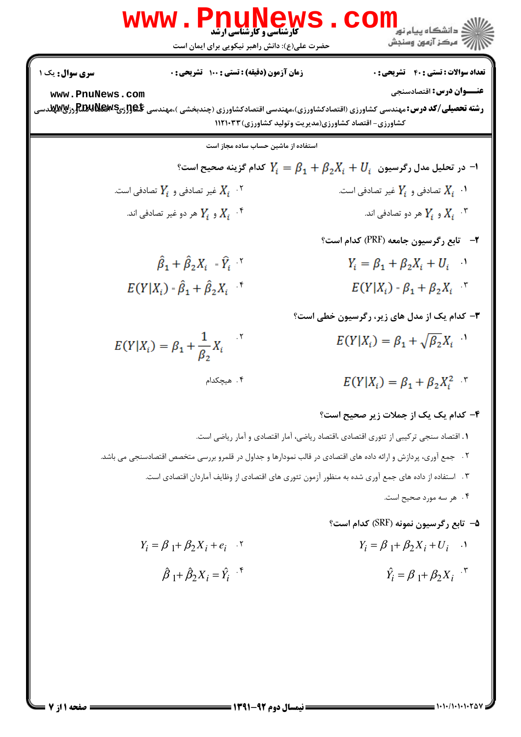$Y_i = \beta_1 + \beta_2 X_i + U_i$  .  $Y_i = \beta_1 + \beta_2 X_i + e_i$  .  $\hat{\beta}_1 + \hat{\beta}_2 X_i = \hat{Y}_i$ <sup>.\*</sup>  $\hat{Y}_i = \beta_1 + \beta_2 X_i$ <sup>"</sup>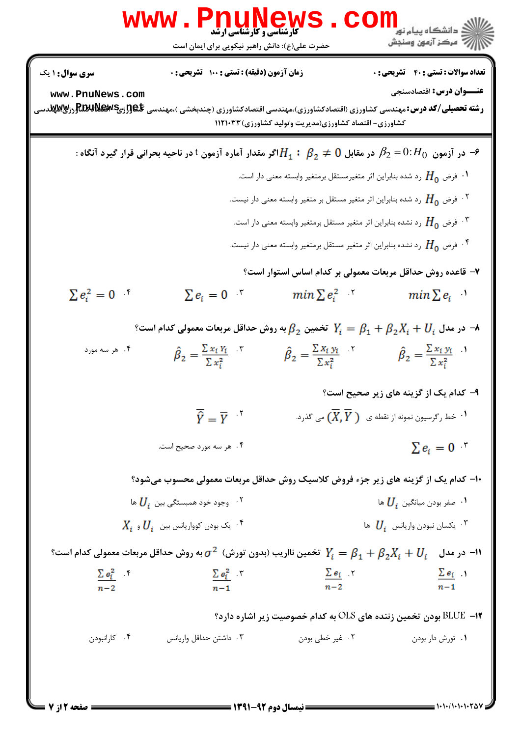$$
\mathbf{WWW} \cdot \mathbf{P}_{11} \cdot \mathbf{L} \cdot \mathbf{L} \cdot \mathbf{L} \cdot \mathbf{L} \cdot \mathbf{L} \cdot \mathbf{L} \cdot \mathbf{L} \cdot \mathbf{L} \cdot \mathbf{L} \cdot \mathbf{L} \cdot \mathbf{L} \cdot \mathbf{L} \cdot \mathbf{L} \cdot \mathbf{L} \cdot \mathbf{L} \cdot \mathbf{L} \cdot \mathbf{L} \cdot \mathbf{L} \cdot \mathbf{L} \cdot \mathbf{L} \cdot \mathbf{L} \cdot \mathbf{L} \cdot \mathbf{L} \cdot \mathbf{L} \cdot \mathbf{L} \cdot \mathbf{L} \cdot \mathbf{L} \cdot \mathbf{L} \cdot \mathbf{L} \cdot \mathbf{L} \cdot \mathbf{L} \cdot \mathbf{L} \cdot \mathbf{L} \cdot \mathbf{L} \cdot \mathbf{L} \cdot \mathbf{L} \cdot \mathbf{L} \cdot \mathbf{L} \cdot \mathbf{L} \cdot \mathbf{L} \cdot \mathbf{L} \cdot \mathbf{L} \cdot \mathbf{L} \cdot \mathbf{L} \cdot \mathbf{L} \cdot \mathbf{L} \cdot \mathbf{L} \cdot \mathbf{L} \cdot \mathbf{L} \cdot \mathbf{L} \cdot \mathbf{L} \cdot \mathbf{L} \cdot \mathbf{L} \cdot \mathbf{L} \cdot \mathbf{L} \cdot \mathbf{L} \cdot \mathbf{L} \cdot \mathbf{L} \cdot \mathbf{L} \cdot \mathbf{L} \cdot \mathbf{L} \cdot \mathbf{L} \cdot \mathbf{L} \cdot \mathbf{L} \cdot \mathbf{L} \cdot \mathbf{L} \cdot \mathbf{L} \cdot \mathbf{L} \cdot \mathbf{L} \cdot \mathbf{L} \cdot \mathbf{L} \cdot \mathbf{L} \cdot \mathbf{L} \cdot \mathbf{L} \cdot \mathbf{L} \cdot \mathbf{L} \cdot \mathbf{L} \cdot \mathbf{L} \cdot \mathbf{L} \cdot \mathbf{L} \cdot \mathbf{L} \cdot \mathbf{L} \cdot \mathbf{L} \cdot \mathbf{L} \cdot \mathbf{L} \cdot \mathbf{L} \cdot \mathbf{L} \cdot \mathbf{L} \cdot \mathbf{L} \cdot \mathbf{L} \cdot \mathbf{L} \cdot \mathbf{L} \cdot \mathbf
$$

 $= 1.1 - 11.1 - 1.70$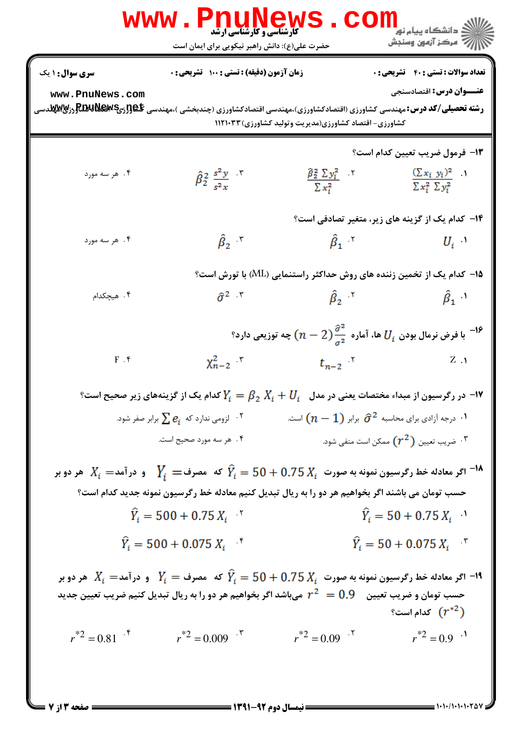|                                                                                                                                                                                  | <b>NTWTW</b><br><b>کارشناسی و کارشناسی ارشد</b><br>حضرت علی(ع): دانش راهبر نیکویی برای ایمان است                                                                                                                                                                               |                                                                                                             | ≦ دانشگاه پيام نو <mark>ر</mark><br>رِ ۖ مرڪز آزمون وسنڊش                               |
|----------------------------------------------------------------------------------------------------------------------------------------------------------------------------------|--------------------------------------------------------------------------------------------------------------------------------------------------------------------------------------------------------------------------------------------------------------------------------|-------------------------------------------------------------------------------------------------------------|-----------------------------------------------------------------------------------------|
| <b>سری سوال :</b> ۱ یک<br>www.PnuNews.com<br><b>رشته تحصیلی/کد درس:</b> مهندسی کشاورزی (اقتصادکشاورزی)،مهندسی اقتصادکشاورزی (چندبخشی )،مهندسی پ <del>ل</del> هورزیپREUGورآپMیدسی | <b>زمان آزمون (دقیقه) : تستی : 100 تشریحی : 0</b>                                                                                                                                                                                                                              | کشاورزی- اقتصاد کشاورزی(مدیریت وتولید کشاورزی) ۱۱۲۱۰۳۳                                                      | <b>تعداد سوالات : تستي : 40 - تشريحي : 0</b><br><b>عنـــوان درس:</b> اقتصادسنجي         |
| ۰۴ هر سه مورد                                                                                                                                                                    | $\hat{\beta}_2^2 \frac{s^2 y}{r^2}$ .                                                                                                                                                                                                                                          | $\hat{\beta}_2^2 \Sigma y_i^2$ $\gamma$<br>$\sum x_i^2$                                                     | <b>۱۳</b> - فرمول ضریب تعیین کدام است؟<br>$(\sum x_i y_i)^2$<br>$\sum x_i^2 \sum y_i^2$ |
| ۰۴ هر سه مورد                                                                                                                                                                    | $\hat{\beta}_2$ $\gamma$                                                                                                                                                                                                                                                       | ۱۴– کدام یک از گزینه های زیر، متغیر تصادفی است؟<br>$\hat{\beta}_1$                                          | $U_i$                                                                                   |
| ۰۴ هیچکدام                                                                                                                                                                       | $\widehat{\sigma}^2$ $\mathcal{N}$                                                                                                                                                                                                                                             | ۱۵− کدام یک از تخمین زننده های روش حداکثر راستنمایی (ML) با تورش است؟<br>$\hat{\beta}_2$ $\gamma$           | $\hat{\beta}_1$ <sup><math>\left.\right)</math></sup>                                   |
| $F$ . $\mathbf f$                                                                                                                                                                | $\chi_{n-2}^2$ $\mathbf{r}$                                                                                                                                                                                                                                                    | ا فرض نرمال بودن $U_i$ ها، آماره $\frac{\partial^2}{\sigma^2}$ $(n-2)$ چه توزیعی دارد $^{-18}$<br>$t_{n-2}$ | $Z \Lambda$                                                                             |
|                                                                                                                                                                                  | $\cdot$ ۹۷ در رگرسیون از مبداء مختصات یعنی در مدل $U_i = \beta_2 \; X_i + \beta_2 = Y$ کدام یک از گزینههای زیر صحیح است $\cdot$<br>۰۲ لزومی ندارد که $e_i$ برابر صفر شود. $^\circ$<br>۰۴ هر سه مورد صحیح است.                                                                  | ۰۱ درجه آزادی برای محاسبه $\widehat{\sigma}^2$ برابر $(n-1)$ است.                                           | شریب تعیین $(r^2)$ ممکن است منفی شود. $\cdot$                                           |
|                                                                                                                                                                                  | اگر معادله خط رگرسیون نمونه به صورت $X_i=50+0.75$ که $\hat{Y}_i=Y_i=0$ و در آمد $X_i=1$ هر دو بر $^{-1}$<br>حسب تومان می باشند اگر بخواهیم هر دو را به ریال تبدیل کنیم معادله خط رگرسیون نمونه جدید کدام است؟<br>$\hat{Y}_i = 500 + 0.75 X_i$<br>$\hat{Y}_i = 500 + 0.075 X_i$ |                                                                                                             | $\hat{Y}_i = 50 + 0.75 X_i$<br>$\hat{Y}_i = 50 + 0.075 X_i$                             |
| $r^{*2} = 0.81$                                                                                                                                                                  | ا اگر معادله خط رگرسیون نمونه به صورت $X_i=50+0.75$ که $Y_i=Y_i=1$ و درآمد $X_i=1$ هر دو بر $\mathsf{I}$ -۱۹<br>حسب تومان و ضریب تعیین $\qquad 0.9$ $^2$ میباشد اگر بخواهیم هر دو را به ریال تبدیل کنیم ضریب تعیین جدید<br>$r^{*2} = 0.009$                                    | $r^{*2} = 0.09$                                                                                             | $\mathfrak{f}^{\ast 2}$ کدام است $(r^{\ast 2})$<br>$r^{*2} = 0.9$ <sup>.1</sup>         |
|                                                                                                                                                                                  |                                                                                                                                                                                                                                                                                |                                                                                                             |                                                                                         |

 $1 - 1 - 11$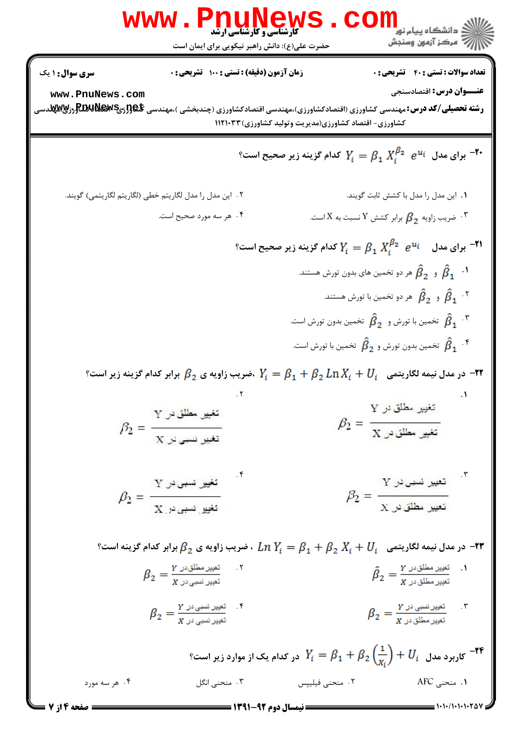| WWW                                                                                                                                                                                                                                                                                                                                                                                                                                                                                                                                                                                                                                                                                                                                                                                                                                                                                                                                                                                                                                                                                                                                                                                                                                                                                                                                                                                                                                                                                                                                                                                                                                                                                                                                                                     | W W W | W | W | W | W | W | W |
|-------------------------------------------------------------------------------------------------------------------------------------------------------------------------------------------------------------------------------------------------------------------------------------------------------------------------------------------------------------------------------------------------------------------------------------------------------------------------------------------------------------------------------------------------------------------------------------------------------------------------------------------------------------------------------------------------------------------------------------------------------------------------------------------------------------------------------------------------------------------------------------------------------------------------------------------------------------------------------------------------------------------------------------------------------------------------------------------------------------------------------------------------------------------------------------------------------------------------------------------------------------------------------------------------------------------------------------------------------------------------------------------------------------------------------------------------------------------------------------------------------------------------------------------------------------------------------------------------------------------------------------------------------------------------------------------------------------------------------------------------------------------------|-------|---|---|---|---|---|---|
| \n $\frac{1}{2} \int_{\text{total}} \int_{\text{total}} \int_{\text{total}} \int_{\text{total}} \int_{\text{total}} \int_{\text{total}} \int_{\text{total}} \int_{\text{total}} \int_{\text{total}} \int_{\text{total}} \int_{\text{total}} \int_{\text{total}} \int_{\text{total}} \int_{\text{total}} \int_{\text{total}} \int_{\text{total}} \int_{\text{total}} \int_{\text{total}} \int_{\text{total}} \int_{\text{total}} \int_{\text{total}} \int_{\text{total}} \int_{\text{total}} \int_{\text{total}} \int_{\text{total}} \int_{\text{total}} \int_{\text{total}} \int_{\text{total}} \int_{\text{total}} \int_{\text{total}} \int_{\text{total}} \int_{\text{total}} \int_{\text{total}} \int_{\text{total}} \int_{\text{total}} \int_{\text{total}} \int_{\text{total}} \int_{\text{total}} \int_{\text{total}} \int_{\text{total}} \int_{\text{total}} \int_{\text{total}} \int_{\text{total}} \int_{\text{total}} \int_{\text{total}} \int_{\text{total}} \int_{\text{total}} \int_{\text{total}} \int_{\text{total}} \int_{\text{total}} \int_{\text{total}} \int_{\text{total}} \int_{\text{total}} \int_{\text{total}} \int_{\text{total}} \int_{\text{total}} \int_{\text{total}} \int_{\text{total}} \int_{\text{total}} \int_{\text{total}} \int_{\text{total}} \int_{\text{total}} \int_{\text{total}} \int_{\text{total}} \int_{\text{total}} \int_{\text{total}} \int_{\text{total}} \int_{\text{total}} \int_{\text{total}} \int_{\text{total}} \int_{\text{total}} \int_{\text{total}} \int_{\text{total}} \int_{\text{total}} \int_{\text{total}} \int_{\text{total}} \int_{\text{total}} \int_{\text{total}} \int_{\text{total}} \int_{\text{total}} \int_{\text{total}} \int_{\text{total}} \int_{\text{total}} \int_{\text{total}} \int_{$ |       |   |   |   |   |   |   |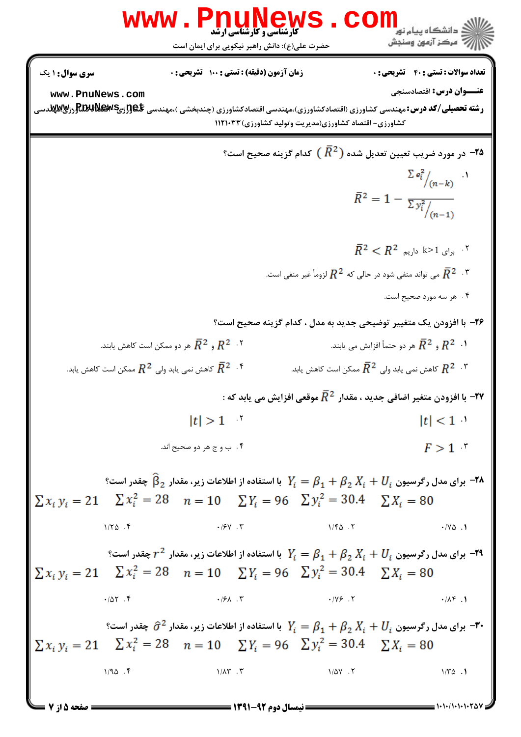| WWW = P.1.119<br>\n $P.2212$ \n\n <td>\n<math display="block">P.3212</math>\n</td> \n <td>\n<math display="block">P.4134</math>\n</td> \n <td>\n<math display="block">P.5113</math>\n</td> \n |                | \n $P.3212$ \n | \n $P.4134$ \n | \n $P.5113$ \n |
|-----------------------------------------------------------------------------------------------------------------------------------------------------------------------------------------------|----------------|----------------|----------------|----------------|
| \n $P.5113$ \n                                                                                                                                                                                | \n $P.5113$ \n |                |                |                |
| \n $P.5113$ \n                                                                                                                                                                                | \n $P.5113$ \n |                |                |                |
| \n $P.5113$ \n                                                                                                                                                                                | \n $P.5113$ \n |                |                |                |
| \n $P.5113$ \n                                                                                                                                                                                | \n $P.5113$ \n |                |                |                |
| \n $P.5113$ \n                                                                                                                                                                                | \n $P.5113$ \n |                |                |                |
| \n $P.5113$ \n                                                                                                                                                                                | \n $P.5113$ \n |                |                |                |
| \n $P.5113$ \n                                                                                                                                                                                | \n $P.5113$ \n |                |                |                |
| \n $P.5113$ \n                                                                                                                                                                                | \n $P.5113$ \n |                |                |                |
| \n $P.5113$ \n                                                                                                                                                                                | \n $P.5113$ \n |                |                |                |
| \n $P.5113$ \n                                                                                                                                                                                | \n $P.5113$ \n |                |                |                |
| \n $P.5113$ \n                                                                                                                                                                                | \n $P.5113$ \n |                |                |                |
| \n $P.5113$ \n                                                                                                                                                                                | \n $P.5113$ \n |                |                |                |
| \n <math< td=""></math<>                                                                                                                                                                      |                |                |                |                |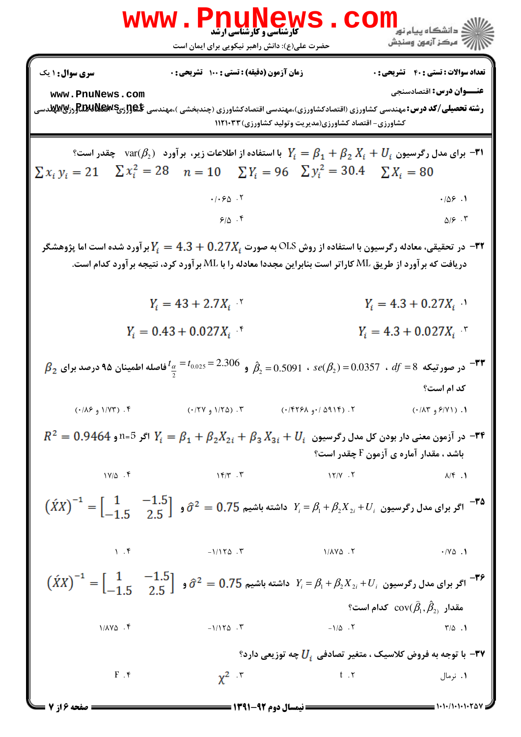ں